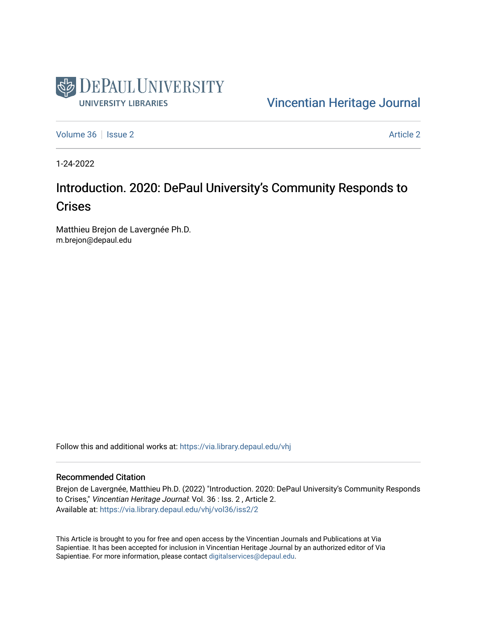

[Vincentian Heritage Journal](https://via.library.depaul.edu/vhj) 

[Volume 36](https://via.library.depaul.edu/vhj/vol36) | [Issue 2](https://via.library.depaul.edu/vhj/vol36/iss2) Article 2

1-24-2022

## Introduction. 2020: DePaul University's Community Responds to **Crises**

Matthieu Brejon de Lavergnée Ph.D. m.brejon@depaul.edu

Follow this and additional works at: [https://via.library.depaul.edu/vhj](https://via.library.depaul.edu/vhj?utm_source=via.library.depaul.edu%2Fvhj%2Fvol36%2Fiss2%2F2&utm_medium=PDF&utm_campaign=PDFCoverPages) 

## Recommended Citation

Brejon de Lavergnée, Matthieu Ph.D. (2022) "Introduction. 2020: DePaul University's Community Responds to Crises," Vincentian Heritage Journal: Vol. 36 : Iss. 2 , Article 2. Available at: [https://via.library.depaul.edu/vhj/vol36/iss2/2](https://via.library.depaul.edu/vhj/vol36/iss2/2?utm_source=via.library.depaul.edu%2Fvhj%2Fvol36%2Fiss2%2F2&utm_medium=PDF&utm_campaign=PDFCoverPages) 

This Article is brought to you for free and open access by the Vincentian Journals and Publications at Via Sapientiae. It has been accepted for inclusion in Vincentian Heritage Journal by an authorized editor of Via Sapientiae. For more information, please contact [digitalservices@depaul.edu](mailto:digitalservices@depaul.edu).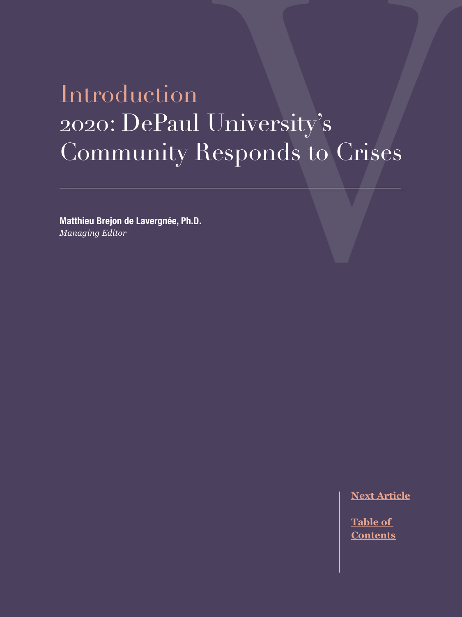## Introduction 2020: DePaul University's Community Responds to Crises

**Matthieu Brejon de Lavergnée, Ph.D.** *Managing Editor*

**[Next Article](#page--1-0)**

**Table of [Contents](#page--1-0)**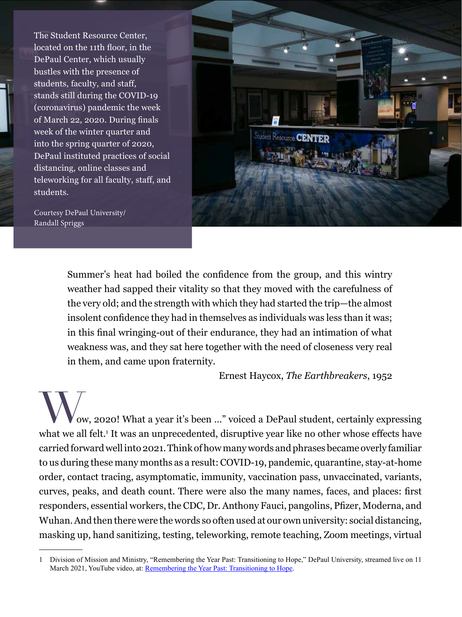The Student Resource Center, located on the 11th floor, in the DePaul Center, which usually bustles with the presence of students, faculty, and staff, stands still during the COVID-19 (coronavirus) pandemic the week of March 22, 2020. During finals week of the winter quarter and into the spring quarter of 2020, DePaul instituted practices of social distancing, online classes and teleworking for all faculty, staff, and students.

Courtesy DePaul University/ Randall Spriggs



Summer's heat had boiled the confidence from the group, and this wintry weather had sapped their vitality so that they moved with the carefulness of the very old; and the strength with which they had started the trip—the almost insolent confidence they had in themselves as individuals was less than it was; in this final wringing-out of their endurance, they had an intimation of what weakness was, and they sat here together with the need of closeness very real in them, and came upon fraternity.

Ernest Haycox, *The Earthbreakers*, 1952

ow, 2020! What a year it's been ..." voiced a DePaul student, certainly expressing what we all felt.<sup>1</sup> It was an unprecedented, disruptive year like no other whose effects have carried forward well into 2021. Think of how many words and phrases became overly familiar to us during these many months as a result: COVID-19, pandemic, quarantine, stay-at-home order, contact tracing, asymptomatic, immunity, vaccination pass, unvaccinated, variants, curves, peaks, and death count. There were also the many names, faces, and places: first responders, essential workers, the CDC, Dr. Anthony Fauci, pangolins, Pfizer, Moderna, and Wuhan. And then there were the words so often used at our own university: social distancing, masking up, hand sanitizing, testing, teleworking, remote teaching, Zoom meetings, virtual

<sup>1</sup> Division of Mission and Ministry, "Remembering the Year Past: Transitioning to Hope," DePaul University, streamed live on 11 March 2021, YouTube video, at: [Remembering the Year Past: Transitioning to Hope](https://www.youtube.com/watch?v=_nXEZ0iLLaM).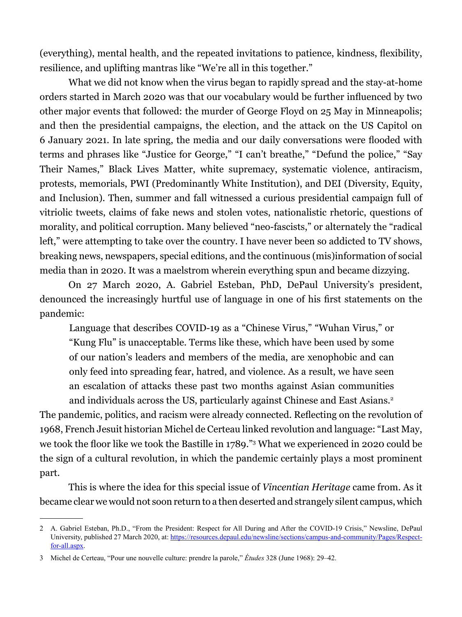(everything), mental health, and the repeated invitations to patience, kindness, flexibility, resilience, and uplifting mantras like "We're all in this together."

What we did not know when the virus began to rapidly spread and the stay-at-home orders started in March 2020 was that our vocabulary would be further influenced by two other major events that followed: the murder of George Floyd on 25 May in Minneapolis; and then the presidential campaigns, the election, and the attack on the US Capitol on 6 January 2021. In late spring, the media and our daily conversations were flooded with terms and phrases like "Justice for George," "I can't breathe," "Defund the police," "Say Their Names," Black Lives Matter, white supremacy, systematic violence, antiracism, protests, memorials, PWI (Predominantly White Institution), and DEI (Diversity, Equity, and Inclusion). Then, summer and fall witnessed a curious presidential campaign full of vitriolic tweets, claims of fake news and stolen votes, nationalistic rhetoric, questions of morality, and political corruption. Many believed "neo-fascists," or alternately the "radical left," were attempting to take over the country. I have never been so addicted to TV shows, breaking news, newspapers, special editions, and the continuous (mis)information of social media than in 2020. It was a maelstrom wherein everything spun and became dizzying.

On 27 March 2020, A. Gabriel Esteban, PhD, DePaul University's president, denounced the increasingly hurtful use of language in one of his first statements on the pandemic:

Language that describes COVID-19 as a "Chinese Virus," "Wuhan Virus," or "Kung Flu" is unacceptable. Terms like these, which have been used by some of our nation's leaders and members of the media, are xenophobic and can only feed into spreading fear, hatred, and violence. As a result, we have seen an escalation of attacks these past two months against Asian communities and individuals across the US, particularly against Chinese and East Asians.<sup>2</sup>

The pandemic, politics, and racism were already connected. Reflecting on the revolution of 1968, French Jesuit historian Michel de Certeau linked revolution and language: "Last May, we took the floor like we took the Bastille in 1789."<sup>3</sup> What we experienced in 2020 could be the sign of a cultural revolution, in which the pandemic certainly plays a most prominent part.

This is where the idea for this special issue of *Vincentian Heritage* came from. As it became clear we would not soon return to a then deserted and strangely silent campus, which

<sup>2</sup> A. Gabriel Esteban, Ph.D., "From the President: Respect for All During and After the COVID-19 Crisis," Newsline, DePaul University, published 27 March 2020, at: [https://resources.depaul.edu/newsline/sections/campus-and-community/Pages/Respect](https://resources.depaul.edu/newsline/sections/campus-and-community/Pages/Respect-for-all.aspx)[for-all.aspx.](https://resources.depaul.edu/newsline/sections/campus-and-community/Pages/Respect-for-all.aspx)

<sup>3</sup> Michel de Certeau, "Pour une nouvelle culture: prendre la parole," *Études* 328 (June 1968): 29–42.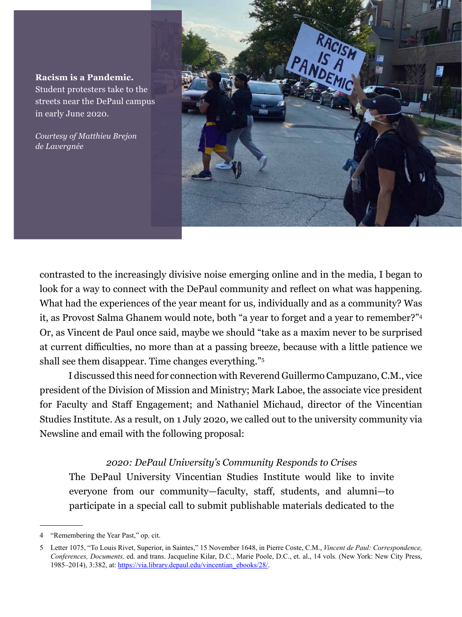**Racism is a Pandemic.** Student protesters take to the streets near the DePaul campus in early June 2020.

*Courtesy of Matthieu Brejon de Lavergnée*



contrasted to the increasingly divisive noise emerging online and in the media, I began to look for a way to connect with the DePaul community and reflect on what was happening. What had the experiences of the year meant for us, individually and as a community? Was it, as Provost Salma Ghanem would note, both "a year to forget and a year to remember?"4 Or, as Vincent de Paul once said, maybe we should "take as a maxim never to be surprised at current difficulties, no more than at a passing breeze, because with a little patience we shall see them disappear. Time changes everything."5

I discussed this need for connection with Reverend Guillermo Campuzano, C.M., vice president of the Division of Mission and Ministry; Mark Laboe, the associate vice president for Faculty and Staff Engagement; and Nathaniel Michaud, director of the Vincentian Studies Institute. As a result, on 1 July 2020, we called out to the university community via Newsline and email with the following proposal:

## *2020: DePaul University's Community Responds to Crises*

The DePaul University Vincentian Studies Institute would like to invite everyone from our community—faculty, staff, students, and alumni—to participate in a special call to submit publishable materials dedicated to the

<sup>4</sup> "Remembering the Year Past," op. cit.

<sup>5</sup> Letter 1075, "To Louis Rivet, Superior, in Saintes," 15 November 1648, in Pierre Coste, C.M., *Vincent de Paul: Correspondence, Conferences, Documents,* ed. and trans. Jacqueline Kilar, D.C., Marie Poole, D.C., et. al., 14 vols. (New York: New City Press, 1985–2014), 3:382, at: [https://via.library.depaul.edu/vincentian\\_ebooks/28/.](https://via.library.depaul.edu/vincentian_ebooks/28/)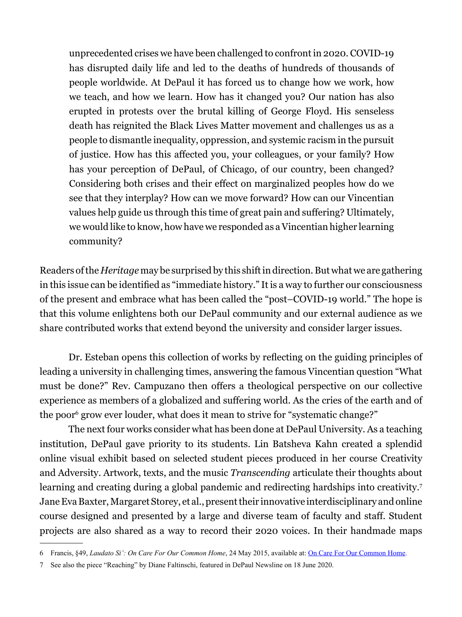unprecedented crises we have been challenged to confront in 2020. COVID-19 has disrupted daily life and led to the deaths of hundreds of thousands of people worldwide. At DePaul it has forced us to change how we work, how we teach, and how we learn. How has it changed you? Our nation has also erupted in protests over the brutal killing of George Floyd. His senseless death has reignited the Black Lives Matter movement and challenges us as a people to dismantle inequality, oppression, and systemic racism in the pursuit of justice. How has this affected you, your colleagues, or your family? How has your perception of DePaul, of Chicago, of our country, been changed? Considering both crises and their effect on marginalized peoples how do we see that they interplay? How can we move forward? How can our Vincentian values help guide us through this time of great pain and suffering? Ultimately, we would like to know, how have we responded as a Vincentian higher learning community?

Readers of the *Heritage* may be surprised by this shift in direction. But what we are gathering in this issue can be identified as "immediate history." It is a way to further our consciousness of the present and embrace what has been called the "post–COVID-19 world." The hope is that this volume enlightens both our DePaul community and our external audience as we share contributed works that extend beyond the university and consider larger issues.

Dr. Esteban opens this collection of works by reflecting on the guiding principles of leading a university in challenging times, answering the famous Vincentian question "What must be done?" Rev. Campuzano then offers a theological perspective on our collective experience as members of a globalized and suffering world. As the cries of the earth and of the poor<sup>6</sup> grow ever louder, what does it mean to strive for "systematic change?"

The next four works consider what has been done at DePaul University. As a teaching institution, DePaul gave priority to its students. Lin Batsheva Kahn created a splendid online visual exhibit based on selected student pieces produced in her course Creativity and Adversity. Artwork, texts, and the music *Transcending* articulate their thoughts about learning and creating during a global pandemic and redirecting hardships into creativity.7 Jane Eva Baxter, Margaret Storey, et al., present their innovative interdisciplinary and online course designed and presented by a large and diverse team of faculty and staff. Student projects are also shared as a way to record their 2020 voices. In their handmade maps

<sup>6</sup> Francis, §49, *Laudato Si': On Care For Our Common Home*, 24 May 2015, available at: [On Care For Our Common Home.](https://www.vatican.va/content/francesco/en/encyclicals/documents/papa-francesco_20150524_enciclica-laudato-si.html)

<sup>7</sup> See also the piece "Reaching" by Diane Faltinschi, featured in DePaul Newsline on 18 June 2020.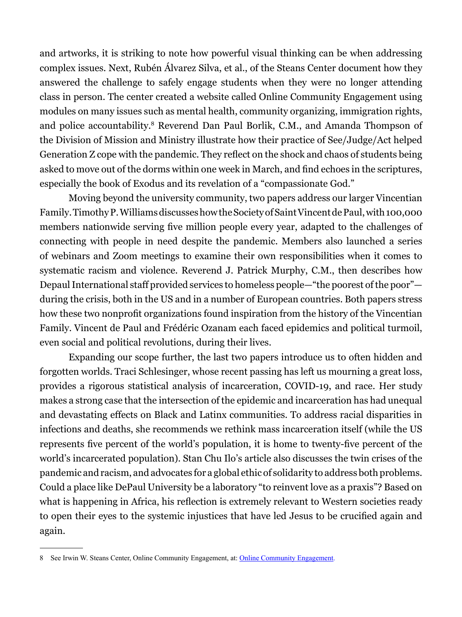and artworks, it is striking to note how powerful visual thinking can be when addressing complex issues. Next, Rubén Álvarez Silva, et al., of the Steans Center document how they answered the challenge to safely engage students when they were no longer attending class in person. The center created a website called Online Community Engagement using modules on many issues such as mental health, community organizing, immigration rights, and police accountability.<sup>8</sup> Reverend Dan Paul Borlik, C.M., and Amanda Thompson of the Division of Mission and Ministry illustrate how their practice of See/Judge/Act helped Generation Z cope with the pandemic. They reflect on the shock and chaos of students being asked to move out of the dorms within one week in March, and find echoes in the scriptures, especially the book of Exodus and its revelation of a "compassionate God."

Moving beyond the university community, two papers address our larger Vincentian Family. Timothy P. Williams discusses how the Society of Saint Vincent de Paul, with 100,000 members nationwide serving five million people every year, adapted to the challenges of connecting with people in need despite the pandemic. Members also launched a series of webinars and Zoom meetings to examine their own responsibilities when it comes to systematic racism and violence. Reverend J. Patrick Murphy, C.M., then describes how Depaul International staff provided services to homeless people—"the poorest of the poor" during the crisis, both in the US and in a number of European countries. Both papers stress how these two nonprofit organizations found inspiration from the history of the Vincentian Family. Vincent de Paul and Frédéric Ozanam each faced epidemics and political turmoil, even social and political revolutions, during their lives.

Expanding our scope further, the last two papers introduce us to often hidden and forgotten worlds. Traci Schlesinger, whose recent passing has left us mourning a great loss, provides a rigorous statistical analysis of incarceration, COVID-19, and race. Her study makes a strong case that the intersection of the epidemic and incarceration has had unequal and devastating effects on Black and Latinx communities. To address racial disparities in infections and deaths, she recommends we rethink mass incarceration itself (while the US represents five percent of the world's population, it is home to twenty-five percent of the world's incarcerated population). Stan Chu Ilo's article also discusses the twin crises of the pandemic and racism, and advocates for a global ethic of solidarity to address both problems. Could a place like DePaul University be a laboratory "to reinvent love as a praxis"? Based on what is happening in Africa, his reflection is extremely relevant to Western societies ready to open their eyes to the systemic injustices that have led Jesus to be crucified again and again.

<sup>8</sup> See Irwin W. Steans Center, [Online Community Engagement](https://sites.google.com/depaul.edu/steans-oce/oce?authuser=0), at: **Online Community Engagement**.